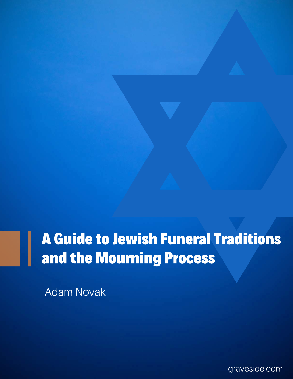### **A Guide to Jewish Funeral Traditions** and the Mourning Process

**Adam Novak** 

graveside.com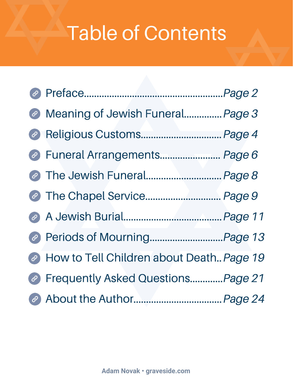# <span id="page-1-0"></span>**Table of Contents**

| @ Meaning of Jewish Funeral Page 3         |  |
|--------------------------------------------|--|
| <sup>@</sup> Religious Customs Page 4      |  |
| @ Funeral Arrangements Page 6              |  |
|                                            |  |
| The Chapel Service Page 9                  |  |
|                                            |  |
| @ Periods of MourningPage 13               |  |
| A How to Tell Children about Death Page 19 |  |
| @ Frequently Asked QuestionsPage 21        |  |
|                                            |  |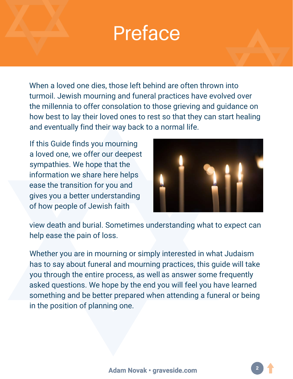## Preface

When a loved one dies, those left behind are often thrown into turmoil. Jewish mourning and funeral practices have evolved over the millennia to offer consolation to those grieving and guidance on how best to lay their loved ones to rest so that they can start healing and eventually find their way back to a normal life.

If this Guide finds you mourning a loved one, we offer our deepest sympathies. We hope that the information we share here helps ease the transition for you and gives you a better understanding of how people of Jewish faith



view death and burial. Sometimes understanding what to expect can help ease the pain of loss.

Whether you are in mourning or simply interested in what Judaism has to say about funeral and mourning practices, this guide will take you through the entire process, as well as answer some frequently asked questions. We hope by the end you will feel you have learned something and be better prepared when attending a funeral or being in the position of planning one.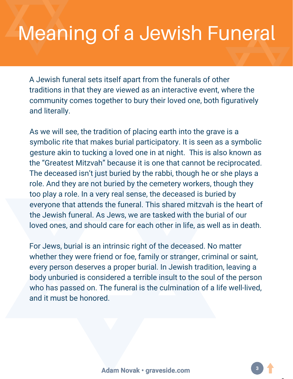## **Meaning of a Jewish Funeral**

A Jewish funeral sets itself apart from the funerals of other traditions in that they are viewed as an interactive event, where the community comes together to bury their loved one, both figuratively and literally.

As we will see, the tradition of placing earth into the grave is a symbolic rite that makes burial participatory. It is seen as a symbolic gesture akin to tucking a loved one in at night. This is also known as the "Greatest Mitzvah" because it is one that cannot be reciprocated. The deceased isn't just buried by the rabbi, though he or she plays a role. And they are not buried by the cemetery workers, though they too play a role. In a very real sense, the deceased is buried by everyone that attends the funeral. This shared mitzvah is the heart of the Jewish funeral. As Jews, we are tasked with the burial of our loved ones, and should care for each other in life, as well as in death.

For Jews, burial is an intrinsic right of the deceased. No matter whether they were friend or foe, family or stranger, criminal or saint, every person deserves a proper burial. In Jewish tradition, leaving a body unburied is considered a terrible insult to the soul of the person who has passed on. The funeral is the culmination of a life well-lived, and it must be honored.

[pg.](#page-1-0) 3

 $\overline{\phantom{a}}$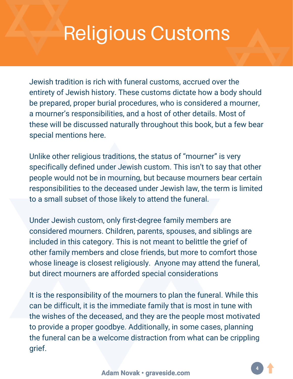## **Religious Customs**

Jewish tradition is rich with funeral customs, accrued over the entirety of Jewish history. These customs dictate how a body should be prepared, proper burial procedures, who is considered a mourner, a mourner's responsibilities, and a host of other details. Most of these will be discussed naturally throughout this book, but a few bear special mentions here.

Unlike other religious traditions, the status of "mourner" is very specifically defined under Jewish custom. This isn't to say that other people would not be in mourning, but because mourners bear certain responsibilities to the deceased under Jewish law, the term is limited to a small subset of those likely to attend the funeral.

Under Jewish custom, only first-degree family members are considered mourners. Children, parents, spouses, and siblings are included in this category. This is not meant to belittle the grief of other family members and close friends, but more to comfort those whose lineage is closest religiously. Anyone may attend the funeral, but direct mourners are afforded special considerations

It is the responsibility of the mourners to plan the funeral. While this can be difficult, it is the immediate family that is most in tune with the wishes of the deceased, and they are the people most motivated to provide a proper goodbye. Additionally, in some cases, planning the funeral can be a welcome distraction from what can be crippling grief.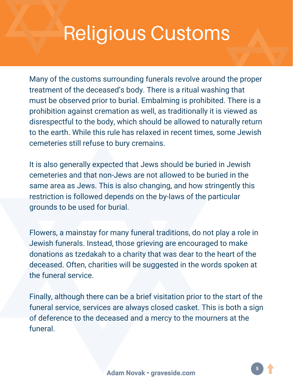## **Religious Customs**

Many of the customs surrounding funerals revolve around the proper treatment of the deceased's body. There is a ritual washing that must be observed prior to burial. Embalming is prohibited. There is a prohibition against cremation as well, as traditionally it is viewed as disrespectful to the body, which should be allowed to naturally return to the earth. While this rule has relaxed in recent times, some Jewish cemeteries still refuse to bury cremains.

It is also generally expected that Jews should be buried in Jewish cemeteries and that non-Jews are not allowed to be buried in the same area as Jews. This is also changing, and how stringently this restriction is followed depends on the by-laws of the particular grounds to be used for burial.

Flowers, a mainstay for many funeral traditions, do not play a role in Jewish funerals. Instead, those grieving are encouraged to make donations as tzedakah to a charity that was dear to the heart of the deceased. Often, charities will be suggested in the words spoken at the funeral service.

Finally, although there can be a brief visitation prior to the start of the funeral service, services are always closed casket. This is both a sign of deference to the deceased and a mercy to the mourners at the funeral.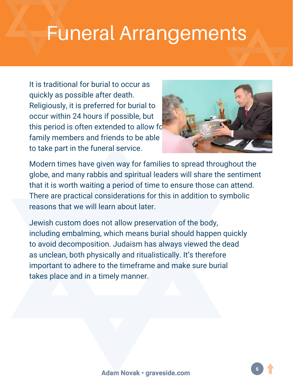### **Funeral Arrangements**

It is traditional for burial to occur as quickly as possible after death. Religiously, it is preferred for burial to occur within 24 hours if possible, but this period is often extended to allow for family members and friends to be able to take part in the funeral service.



Modern times have given way for families to spread throughout the globe, and many rabbis and spiritual leaders will share the sentiment that it is worth waiting a period of time to ensure those can attend. There are practical considerations for this in addition to symbolic reasons that we will learn about later.

Jewish custom does not allow preservation of the body, including embalming, which means burial should happen quickly to avoid decomposition. Judaism has always viewed the dead as unclean, both physically and ritualistically. It's therefore important to adhere to the timeframe and make sure burial takes place and in a timely manner.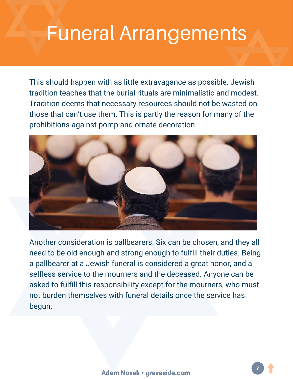## **Funeral Arrangements**

This should happen with as little extravagance as possible. Jewish tradition teaches that the burial rituals are minimalistic and modest. Tradition deems that necessary resources should not be wasted on those that can't use them. This is partly the reason for many of the prohibitions against pomp and ornate decoration.



Another consideration is pallbearers. Six can be chosen, and they all need to be old enough and strong enough to fulfill their duties. Being a pallbearer at a Jewish funeral is considered a great honor, and a selfless service to the mourners and the deceased. Anyone can be asked to fulfill this responsibility except for the mourners, who must not burden themselves with funeral details once the service has begun.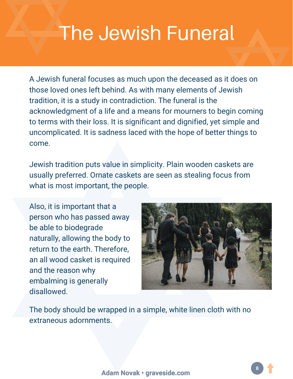# The Jewish Funeral

A Jewish funeral focuses as much upon the deceased as it does on those loved ones left behind. As with many elements of Jewish tradition, it is a study in contradiction. The funeral is the acknowledgment of a life and a means for mourners to begin coming to terms with their loss. It is significant and dignified, yet simple and uncomplicated. It is sadness laced with the hope of better things to come.

Jewish tradition puts value in simplicity. Plain wooden caskets are usually preferred. Ornate caskets are seen as stealing focus from what is most important, the people.

Also, it is important that a person who has passed away be able to biodegrade naturally, allowing the body to return to the earth. Therefore, an all wood casket is required and the reason why embalming is generally disallowed.



The body should be wrapped in a simple, white linen cloth with no extraneous adornments.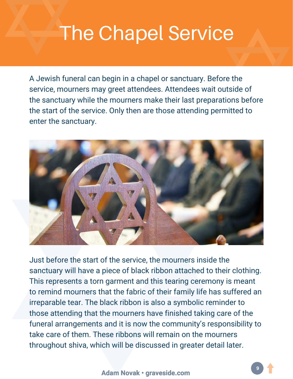## The Chapel Service

A Jewish funeral can begin in a chapel or sanctuary. Before the service, mourners may greet attendees. Attendees wait outside of the sanctuary while the mourners make their last preparations before the start of the service. Only then are those attending permitted to enter the sanctuary.



Just before the start of the service, the mourners inside the sanctuary will have a piece of black ribbon attached to their clothing. This represents a torn garment and this tearing ceremony is meant to remind mourners that the fabric of their family life has suffered an irreparable tear. The black ribbon is also a symbolic reminder to those attending that the mourners have finished taking care of the funeral arrangements and it is now the community's responsibility to take care of them. These ribbons will remain on the mourners throughout shiva, which will be discussed in greater detail later.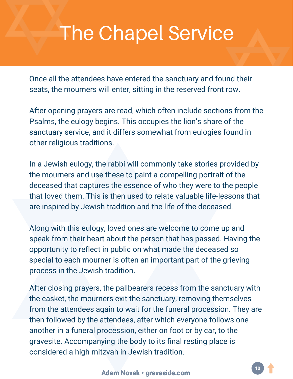## The Chapel Service

Once all the attendees have entered the sanctuary and found their seats, the mourners will enter, sitting in the reserved front row.

After opening prayers are read, which often include sections from the Psalms, the eulogy begins. This occupies the lion's share of the sanctuary service, and it differs somewhat from eulogies found in other religious traditions.

In a Jewish eulogy, the rabbi will commonly take stories provided by the mourners and use these to paint a compelling portrait of the deceased that captures the essence of who they were to the people that loved them. This is then used to relate valuable life-lessons that are inspired by Jewish tradition and the life of the deceased.

Along with this eulogy, loved ones are welcome to come up and speak from their heart about the person that has passed. Having the opportunity to reflect in public on what made the deceased so special to each mourner is often an important part of the grieving process in the Jewish tradition.

After closing prayers, the pallbearers recess from the sanctuary with the casket, the mourners exit the sanctuary, removing themselves from the attendees again to wait for the funeral procession. They are then followed by the attendees, after which everyone follows one another in a funeral procession, either on foot or by car, to the gravesite. Accompanying the body to its final resting place is considered a high mitzvah in Jewish tradition.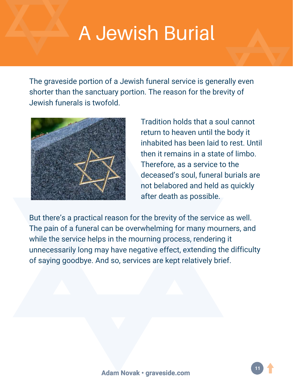### **A Jewish Burial**

The graveside portion of a Jewish funeral service is generally even shorter than the sanctuary portion. The reason for the brevity of Jewish funerals is twofold.



Tradition holds that a soul cannot return to heaven until the body it inhabited has been laid to rest. Until then it remains in a state of limbo. Therefore, as a service to the deceased's soul, funeral burials are not belabored and held as quickly after death as possible.

But there's a practical reason for the brevity of the service as well. The pain of a funeral can be overwhelming for many mourners, and while the service helps in the mourning process, rendering it unnecessarily long may have negative effect, extending the difficulty of saying goodbye. And so, services are kept relatively brief.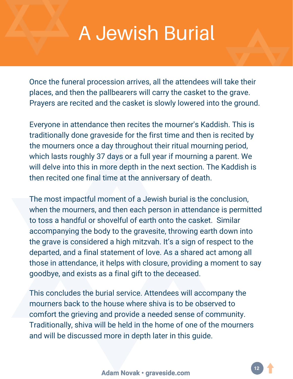### **A Jewish Burial**

Once the funeral procession arrives, all the attendees will take their places, and then the pallbearers will carry the casket to the grave. Prayers are recited and the casket is slowly lowered into the ground.

Everyone in attendance then recites the mourner's Kaddish. This is traditionally done graveside for the first time and then is recited by the mourners once a day throughout their ritual mourning period, which lasts roughly 37 days or a full year if mourning a parent. We will delve into this in more depth in the next section. The Kaddish is then recited one final time at the anniversary of death.

The most impactful moment of a Jewish burial is the conclusion, when the mourners, and then each person in attendance is permitted to toss a handful or shovelful of earth onto the casket. Similar accompanying the body to the gravesite, throwing earth down into the grave is considered a high mitzvah. It's a sign of respect to the departed, and a final statement of love. As a shared act among all those in attendance, it helps with closure, providing a moment to say goodbye, and exists as a final gift to the deceased.

This concludes the burial service. Attendees will accompany the mourners back to the house where shiva is to be observed to comfort the grieving and provide a needed sense of community. Traditionally, shiva will be held in the home of one of the mourners and will be discussed more in depth later in this guide.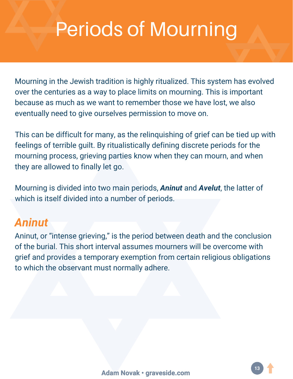Mourning in the Jewish tradition is highly ritualized. This system has evolved over the centuries as a way to place limits on mourning. This is important because as much as we want to remember those we have lost, we also eventually need to give ourselves permission to move on.

This can be difficult for many, as the relinquishing of grief can be tied up with feelings of terrible guilt. By ritualistically defining discrete periods for the mourning process, grieving parties know when they can mourn, and when they are allowed to finally let go.

Mourning is divided into two main periods, *Aninut* and *Avelut*, the latter of which is itself divided into a number of periods.

### *Aninut*

Aninut, or "intense grieving," is the period between death and the conclusion of the burial. This short interval assumes mourners will be overcome with grief and provides a temporary exemption from certain religious obligations to which the observant must normally adhere.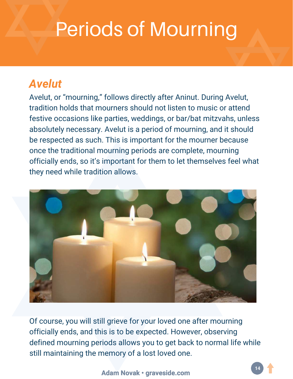### *Avelut*

Avelut, or "mourning," follows directly after Aninut. During Avelut, tradition holds that mourners should not listen to music or attend festive occasions like parties, weddings, or bar/bat mitzvahs, unless absolutely necessary. Avelut is a period of mourning, and it should be respected as such. This is important for the mourner because once the traditional mourning periods are complete, mourning officially ends, so it's important for them to let themselves feel what they need while tradition allows.



Of course, you will still grieve for your loved one after mourning officially ends, and this is to be expected. However, observing defined mourning periods allows you to get back to normal life while still maintaining the memory of a lost loved one.

#### **Adam Novak • [graveside.com](https://www.graveside.com/)**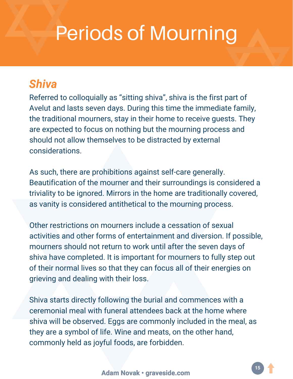### *Shiva*

Referred to colloquially as "sitting shiva", shiva is the first part of Avelut and lasts seven days. During this time the immediate family, the traditional mourners, stay in their home to receive guests. They are expected to focus on nothing but the mourning process and should not allow themselves to be distracted by external considerations.

As such, there are prohibitions against self-care generally. Beautification of the mourner and their surroundings is considered a triviality to be ignored. Mirrors in the home are traditionally covered, as vanity is considered antithetical to the mourning process.

Other restrictions on mourners include a cessation of sexual activities and other forms of entertainment and diversion. If possible, mourners should not return to work until after the seven days of shiva have completed. It is important for mourners to fully step out of their normal lives so that they can focus all of their energies on grieving and dealing with their loss.

Shiva starts directly following the burial and commences with a ceremonial meal with funeral attendees back at the home where shiva will be observed. Eggs are commonly included in the meal, as they are a symbol of life. Wine and meats, on the other hand, commonly held as joyful foods, are forbidden.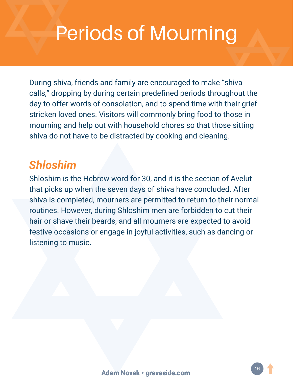During shiva, friends and family are encouraged to make "shiva calls," dropping by during certain predefined periods throughout the day to offer words of consolation, and to spend time with their griefstricken loved ones. Visitors will commonly bring food to those in mourning and help out with household chores so that those sitting shiva do not have to be distracted by cooking and cleaning.

### *Shloshim*

Shloshim is the Hebrew word for 30, and it is the section of Avelut that picks up when the seven days of shiva have concluded. After shiva is completed, mourners are permitted to return to their normal routines. However, during Shloshim men are forbidden to cut their hair or shave their beards, and all mourners are expected to avoid festive occasions or engage in joyful activities, such as dancing or listening to music.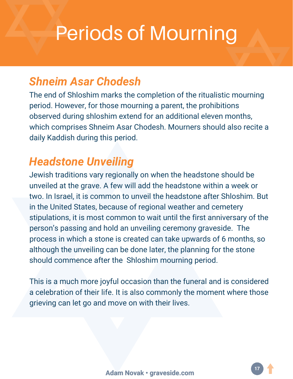### *Shneim Asar Chodesh*

The end of Shloshim marks the completion of the ritualistic mourning period. However, for those mourning a parent, the prohibitions observed during shloshim extend for an additional eleven months, which comprises Shneim Asar Chodesh. Mourners should also recite a daily Kaddish during this period.

### *Headstone Unveiling*

Jewish traditions vary regionally on when the headstone should be unveiled at the grave. A few will add the headstone within a week or two. In Israel, it is common to unveil the headstone after Shloshim. But in the United States, because of regional weather and cemetery stipulations, it is most common to wait until the first anniversary of the person's passing and hold an unveiling ceremony graveside. The process in which a stone is created can take upwards of 6 months, so although the unveiling can be done later, the planning for the stone should commence after the Shloshim mourning period.

This is a much more joyful occasion than the funeral and is considered a celebration of their life. It is also commonly the moment where those grieving can let go and move on with their lives.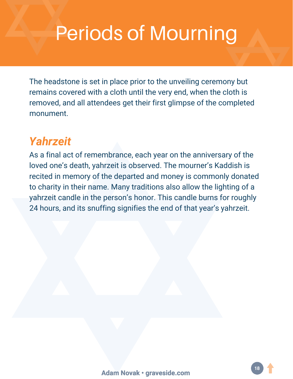The headstone is set in place prior to the unveiling ceremony but remains covered with a cloth until the very end, when the cloth is removed, and all attendees get their first glimpse of the completed monument.

### *Yahrzeit*

As a final act of remembrance, each year on the anniversary of the loved one's death, yahrzeit is observed. The mourner's Kaddish is recited in memory of the departed and money is commonly donated to charity in their name. Many traditions also allow the lighting of a yahrzeit candle in the person's honor. This candle burns for roughly 24 hours, and its snuffing signifies the end of that year's yahrzeit.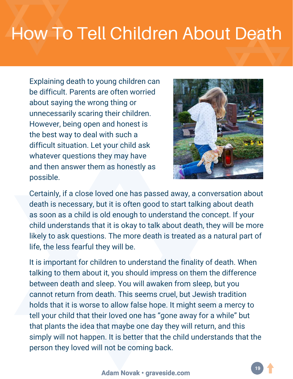### **How To Tell Children About Death**

Explaining death to young children can be difficult. Parents are often worried about saying the wrong thing or unnecessarily scaring their children. However, being open and honest is the best way to deal with such a difficult situation. Let your child ask whatever questions they may have and then answer them as honestly as possible.



Certainly, if a close loved one has passed away, a conversation about death is necessary, but it is often good to start talking about death as soon as a child is old enough to understand the concept. If your child understands that it is okay to talk about death, they will be more likely to ask questions. The more death is treated as a natural part of life, the less fearful they will be.

It is important for children to understand the finality of death. When talking to them about it, you should impress on them the difference between death and sleep. You will awaken from sleep, but you cannot return from death. This seems cruel, but Jewish tradition holds that it is worse to allow false hope. It might seem a mercy to tell your child that their loved one has "gone away for a while" but that plants the idea that maybe one day they will return, and this simply will not happen. It is better that the child understands that the person they loved will not be coming back.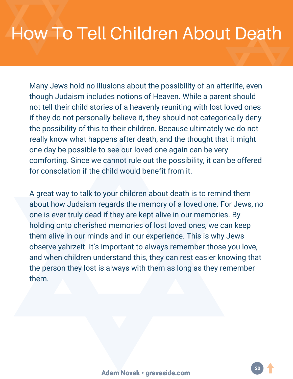### **How To Tell Children About Death**

Many Jews hold no illusions about the possibility of an afterlife, even though Judaism includes notions of Heaven. While a parent should not tell their child stories of a heavenly reuniting with lost loved ones if they do not personally believe it, they should not categorically deny the possibility of this to their children. Because ultimately we do not really know what happens after death, and the thought that it might one day be possible to see our loved one again can be very comforting. Since we cannot rule out the possibility, it can be offered for consolation if the child would benefit from it.

A great way to talk to your children about death is to remind them about how Judaism regards the memory of a loved one. For Jews, no one is ever truly dead if they are kept alive in our memories. By holding onto cherished memories of lost loved ones, we can keep them alive in our minds and in our experience. This is why Jews observe yahrzeit. It's important to always remember those you love, and when children understand this, they can rest easier knowing that the person they lost is always with them as long as they remember them.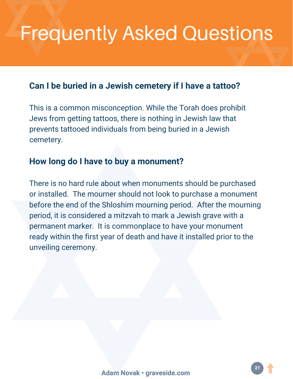# **Frequently Asked Questions**

#### **Can I be buried in a Jewish cemetery if I have a tattoo?**

This is a common misconception. While the Torah does prohibit Jews from getting tattoos, there is nothing in Jewish law that prevents tattooed individuals from being buried in a Jewish cemetery.

#### **How long do I have to buy a monument?**

There is no hard rule about when monuments should be purchased or installed. The mourner should not look to purchase a monument before the end of the Shloshim mourning period. After the mourning period, it is considered a mitzvah to mark a Jewish grave with a permanent marker. It is commonplace to have your monument ready within the first year of death and have it installed prior to the unveiling ceremony.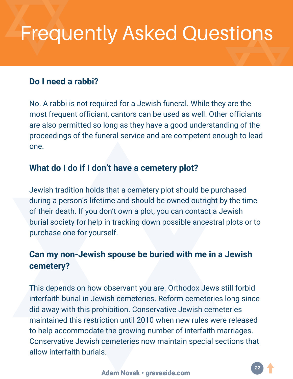# **Frequently Asked Questions**

#### **Do I need a rabbi?**

No. A rabbi is not required for a Jewish funeral. While they are the most frequent officiant, cantors can be used as well. Other officiants are also permitted so long as they have a good understanding of the proceedings of the funeral service and are competent enough to lead one.

#### **What do I do if I don't have a cemetery plot?**

Jewish tradition holds that a cemetery plot should be purchased during a person's lifetime and should be owned outright by the time of their death. If you don't own a plot, you can contact a Jewish burial society for help in tracking down possible ancestral plots or to purchase one for yourself.

### **Can my non-Jewish spouse be buried with me in a Jewish cemetery?**

This depends on how observant you are. Orthodox Jews still forbid interfaith burial in Jewish cemeteries. Reform cemeteries long since did away with this prohibition. Conservative Jewish cemeteries maintained this restriction until 2010 when new rules were released to help accommodate the growing number of interfaith marriages. Conservative Jewish cemeteries now maintain special sections that allow interfaith burials.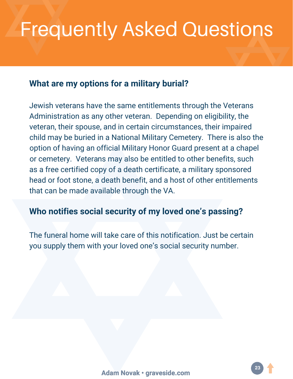# **Frequently Asked Questions**

#### **What are my options for a military burial?**

Jewish veterans have the same entitlements through the Veterans Administration as any other veteran. Depending on eligibility, the veteran, their spouse, and in certain circumstances, their impaired child may be buried in a National Military Cemetery. There is also the option of having an official Military Honor Guard present at a chapel or cemetery. Veterans may also be entitled to other benefits, such as a free certified copy of a death certificate, a military sponsored head or foot stone, a death benefit, and a host of other entitlements that can be made available through the VA.

#### **Who notifies social security of my loved one's passing?**

The funeral home will take care of this notification. Just be certain you supply them with your loved one's social security number.